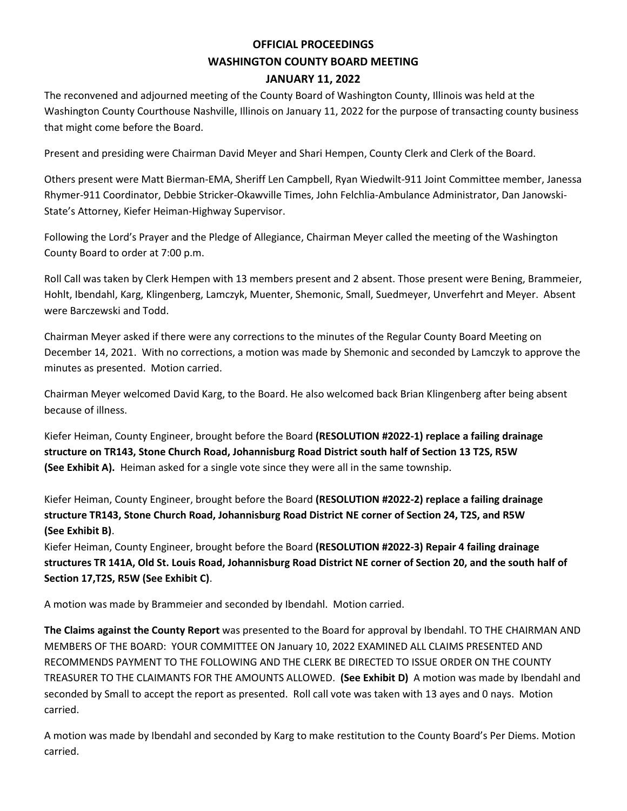# **OFFICIAL PROCEEDINGS WASHINGTON COUNTY BOARD MEETING JANUARY 11, 2022**

The reconvened and adjourned meeting of the County Board of Washington County, Illinois was held at the Washington County Courthouse Nashville, Illinois on January 11, 2022 for the purpose of transacting county business that might come before the Board.

Present and presiding were Chairman David Meyer and Shari Hempen, County Clerk and Clerk of the Board.

Others present were Matt Bierman-EMA, Sheriff Len Campbell, Ryan Wiedwilt-911 Joint Committee member, Janessa Rhymer-911 Coordinator, Debbie Stricker-Okawville Times, John Felchlia-Ambulance Administrator, Dan Janowski-State's Attorney, Kiefer Heiman-Highway Supervisor.

Following the Lord's Prayer and the Pledge of Allegiance, Chairman Meyer called the meeting of the Washington County Board to order at 7:00 p.m.

Roll Call was taken by Clerk Hempen with 13 members present and 2 absent. Those present were Bening, Brammeier, Hohlt, Ibendahl, Karg, Klingenberg, Lamczyk, Muenter, Shemonic, Small, Suedmeyer, Unverfehrt and Meyer. Absent were Barczewski and Todd.

Chairman Meyer asked if there were any corrections to the minutes of the Regular County Board Meeting on December 14, 2021. With no corrections, a motion was made by Shemonic and seconded by Lamczyk to approve the minutes as presented. Motion carried.

Chairman Meyer welcomed David Karg, to the Board. He also welcomed back Brian Klingenberg after being absent because of illness.

Kiefer Heiman, County Engineer, brought before the Board **(RESOLUTION #2022-1) replace a failing drainage structure on TR143, Stone Church Road, Johannisburg Road District south half of Section 13 T2S, R5W (See Exhibit A).** Heiman asked for a single vote since they were all in the same township.

Kiefer Heiman, County Engineer, brought before the Board **(RESOLUTION #2022-2) replace a failing drainage structure TR143, Stone Church Road, Johannisburg Road District NE corner of Section 24, T2S, and R5W (See Exhibit B)**.

Kiefer Heiman, County Engineer, brought before the Board **(RESOLUTION #2022-3) Repair 4 failing drainage structures TR 141A, Old St. Louis Road, Johannisburg Road District NE corner of Section 20, and the south half of Section 17,T2S, R5W (See Exhibit C)**.

A motion was made by Brammeier and seconded by Ibendahl. Motion carried.

**The Claims against the County Report** was presented to the Board for approval by Ibendahl. TO THE CHAIRMAN AND MEMBERS OF THE BOARD: YOUR COMMITTEE ON January 10, 2022 EXAMINED ALL CLAIMS PRESENTED AND RECOMMENDS PAYMENT TO THE FOLLOWING AND THE CLERK BE DIRECTED TO ISSUE ORDER ON THE COUNTY TREASURER TO THE CLAIMANTS FOR THE AMOUNTS ALLOWED. **(See Exhibit D)** A motion was made by Ibendahl and seconded by Small to accept the report as presented. Roll call vote was taken with 13 ayes and 0 nays. Motion carried.

A motion was made by Ibendahl and seconded by Karg to make restitution to the County Board's Per Diems. Motion carried.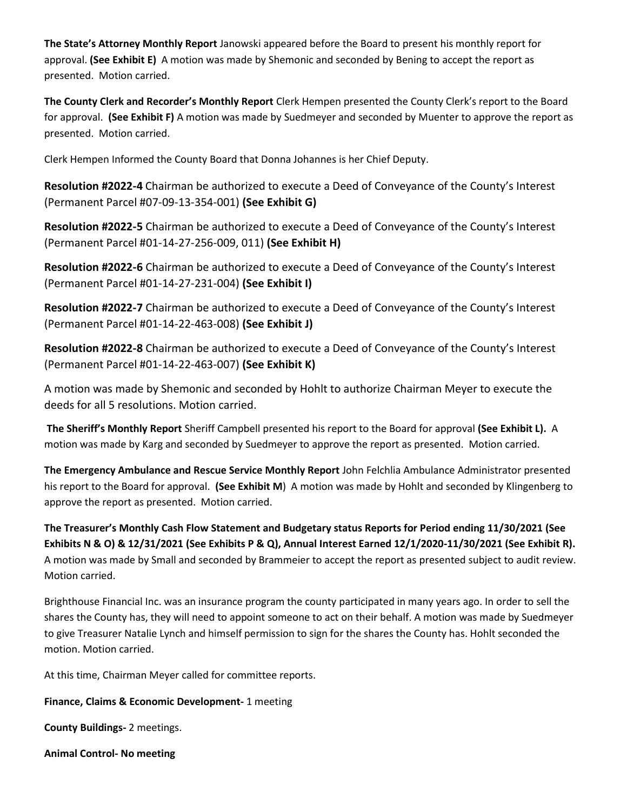**The State's Attorney Monthly Report** Janowski appeared before the Board to present his monthly report for approval. **(See Exhibit E)** A motion was made by Shemonic and seconded by Bening to accept the report as presented. Motion carried.

**The County Clerk and Recorder's Monthly Report** Clerk Hempen presented the County Clerk's report to the Board for approval. **(See Exhibit F)** A motion was made by Suedmeyer and seconded by Muenter to approve the report as presented. Motion carried.

Clerk Hempen Informed the County Board that Donna Johannes is her Chief Deputy.

**Resolution #2022-4** Chairman be authorized to execute a Deed of Conveyance of the County's Interest (Permanent Parcel #07-09-13-354-001) **(See Exhibit G)**

**Resolution #2022-5** Chairman be authorized to execute a Deed of Conveyance of the County's Interest (Permanent Parcel #01-14-27-256-009, 011) **(See Exhibit H)**

**Resolution #2022-6** Chairman be authorized to execute a Deed of Conveyance of the County's Interest (Permanent Parcel #01-14-27-231-004) **(See Exhibit I)**

**Resolution #2022-7** Chairman be authorized to execute a Deed of Conveyance of the County's Interest (Permanent Parcel #01-14-22-463-008) **(See Exhibit J)**

**Resolution #2022-8** Chairman be authorized to execute a Deed of Conveyance of the County's Interest (Permanent Parcel #01-14-22-463-007) **(See Exhibit K)**

A motion was made by Shemonic and seconded by Hohlt to authorize Chairman Meyer to execute the deeds for all 5 resolutions. Motion carried.

**The Sheriff's Monthly Report** Sheriff Campbell presented his report to the Board for approval **(See Exhibit L).** A motion was made by Karg and seconded by Suedmeyer to approve the report as presented. Motion carried.

**The Emergency Ambulance and Rescue Service Monthly Report** John Felchlia Ambulance Administrator presented his report to the Board for approval. **(See Exhibit M**) A motion was made by Hohlt and seconded by Klingenberg to approve the report as presented. Motion carried.

**The Treasurer's Monthly Cash Flow Statement and Budgetary status Reports for Period ending 11/30/2021 (See Exhibits N & O) & 12/31/2021 (See Exhibits P & Q), Annual Interest Earned 12/1/2020-11/30/2021 (See Exhibit R).**  A motion was made by Small and seconded by Brammeier to accept the report as presented subject to audit review. Motion carried.

Brighthouse Financial Inc. was an insurance program the county participated in many years ago. In order to sell the shares the County has, they will need to appoint someone to act on their behalf. A motion was made by Suedmeyer to give Treasurer Natalie Lynch and himself permission to sign for the shares the County has. Hohlt seconded the motion. Motion carried.

At this time, Chairman Meyer called for committee reports.

**Finance, Claims & Economic Development-** 1 meeting

**County Buildings-** 2 meetings.

**Animal Control- No meeting**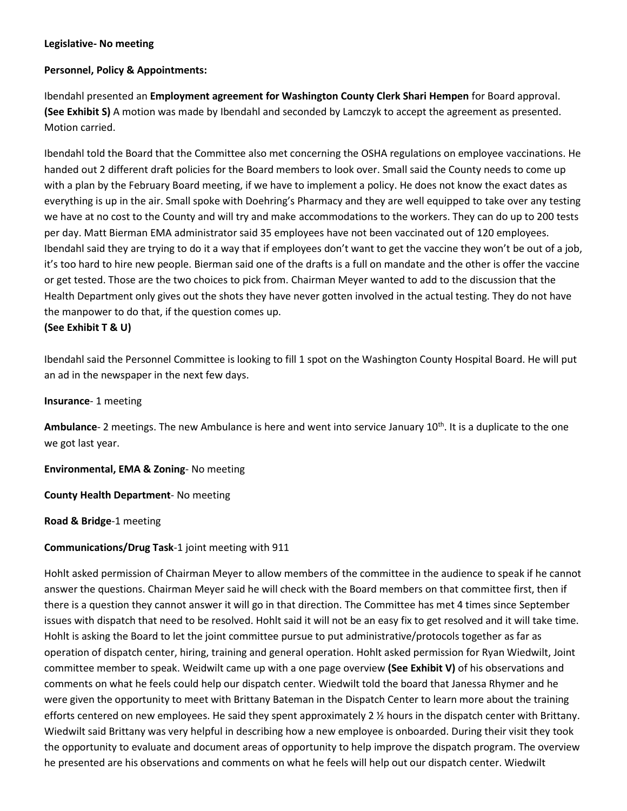# **Legislative- No meeting**

# **Personnel, Policy & Appointments:**

Ibendahl presented an **Employment agreement for Washington County Clerk Shari Hempen** for Board approval. **(See Exhibit S)** A motion was made by Ibendahl and seconded by Lamczyk to accept the agreement as presented. Motion carried.

Ibendahl told the Board that the Committee also met concerning the OSHA regulations on employee vaccinations. He handed out 2 different draft policies for the Board members to look over. Small said the County needs to come up with a plan by the February Board meeting, if we have to implement a policy. He does not know the exact dates as everything is up in the air. Small spoke with Doehring's Pharmacy and they are well equipped to take over any testing we have at no cost to the County and will try and make accommodations to the workers. They can do up to 200 tests per day. Matt Bierman EMA administrator said 35 employees have not been vaccinated out of 120 employees. Ibendahl said they are trying to do it a way that if employees don't want to get the vaccine they won't be out of a job, it's too hard to hire new people. Bierman said one of the drafts is a full on mandate and the other is offer the vaccine or get tested. Those are the two choices to pick from. Chairman Meyer wanted to add to the discussion that the Health Department only gives out the shots they have never gotten involved in the actual testing. They do not have the manpower to do that, if the question comes up.

## **(See Exhibit T & U)**

Ibendahl said the Personnel Committee is looking to fill 1 spot on the Washington County Hospital Board. He will put an ad in the newspaper in the next few days.

#### **Insurance**- 1 meeting

**Ambulance**- 2 meetings. The new Ambulance is here and went into service January 10<sup>th</sup>. It is a duplicate to the one we got last year.

**Environmental, EMA & Zoning**- No meeting

**County Health Department**- No meeting

**Road & Bridge**-1 meeting

## **Communications/Drug Task**-1 joint meeting with 911

Hohlt asked permission of Chairman Meyer to allow members of the committee in the audience to speak if he cannot answer the questions. Chairman Meyer said he will check with the Board members on that committee first, then if there is a question they cannot answer it will go in that direction. The Committee has met 4 times since September issues with dispatch that need to be resolved. Hohlt said it will not be an easy fix to get resolved and it will take time. Hohlt is asking the Board to let the joint committee pursue to put administrative/protocols together as far as operation of dispatch center, hiring, training and general operation. Hohlt asked permission for Ryan Wiedwilt, Joint committee member to speak. Weidwilt came up with a one page overview **(See Exhibit V)** of his observations and comments on what he feels could help our dispatch center. Wiedwilt told the board that Janessa Rhymer and he were given the opportunity to meet with Brittany Bateman in the Dispatch Center to learn more about the training efforts centered on new employees. He said they spent approximately 2  $\frac{y}{x}$  hours in the dispatch center with Brittany. Wiedwilt said Brittany was very helpful in describing how a new employee is onboarded. During their visit they took the opportunity to evaluate and document areas of opportunity to help improve the dispatch program. The overview he presented are his observations and comments on what he feels will help out our dispatch center. Wiedwilt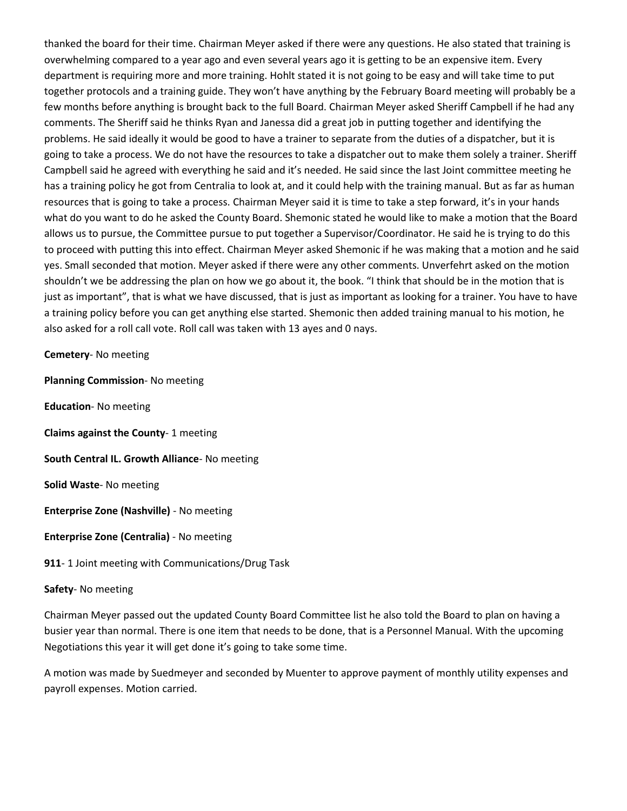thanked the board for their time. Chairman Meyer asked if there were any questions. He also stated that training is overwhelming compared to a year ago and even several years ago it is getting to be an expensive item. Every department is requiring more and more training. Hohlt stated it is not going to be easy and will take time to put together protocols and a training guide. They won't have anything by the February Board meeting will probably be a few months before anything is brought back to the full Board. Chairman Meyer asked Sheriff Campbell if he had any comments. The Sheriff said he thinks Ryan and Janessa did a great job in putting together and identifying the problems. He said ideally it would be good to have a trainer to separate from the duties of a dispatcher, but it is going to take a process. We do not have the resources to take a dispatcher out to make them solely a trainer. Sheriff Campbell said he agreed with everything he said and it's needed. He said since the last Joint committee meeting he has a training policy he got from Centralia to look at, and it could help with the training manual. But as far as human resources that is going to take a process. Chairman Meyer said it is time to take a step forward, it's in your hands what do you want to do he asked the County Board. Shemonic stated he would like to make a motion that the Board allows us to pursue, the Committee pursue to put together a Supervisor/Coordinator. He said he is trying to do this to proceed with putting this into effect. Chairman Meyer asked Shemonic if he was making that a motion and he said yes. Small seconded that motion. Meyer asked if there were any other comments. Unverfehrt asked on the motion shouldn't we be addressing the plan on how we go about it, the book. "I think that should be in the motion that is just as important", that is what we have discussed, that is just as important as looking for a trainer. You have to have a training policy before you can get anything else started. Shemonic then added training manual to his motion, he also asked for a roll call vote. Roll call was taken with 13 ayes and 0 nays.

**Cemetery**- No meeting

**Planning Commission**- No meeting

**Education**- No meeting

**Claims against the County**- 1 meeting

**South Central IL. Growth Alliance**- No meeting

**Solid Waste**- No meeting

**Enterprise Zone (Nashville)** - No meeting

**Enterprise Zone (Centralia)** - No meeting

**911**- 1 Joint meeting with Communications/Drug Task

#### **Safety**- No meeting

Chairman Meyer passed out the updated County Board Committee list he also told the Board to plan on having a busier year than normal. There is one item that needs to be done, that is a Personnel Manual. With the upcoming Negotiations this year it will get done it's going to take some time.

A motion was made by Suedmeyer and seconded by Muenter to approve payment of monthly utility expenses and payroll expenses. Motion carried.